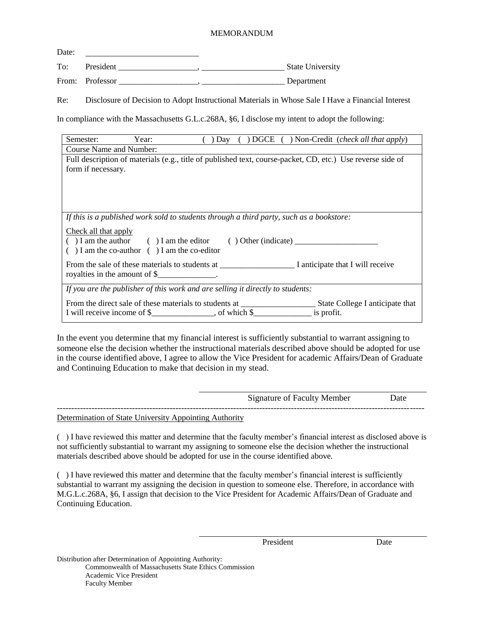## MEMORANDUM

| Date: |                 |  |                         |
|-------|-----------------|--|-------------------------|
| To:   | President       |  | <b>State University</b> |
|       | From: Professor |  | Department              |

Re: Disclosure of Decision to Adopt Instructional Materials in Whose Sale I Have a Financial Interest

In compliance with the Massachusetts G.L.c.268A, §6, I disclose my intent to adopt the following:

| Semester:                                                                                                  | Year:                                                                             | Day |  |  | ( ) DGCE ( ) Non-Credit (check all that apply) |  |  |  |
|------------------------------------------------------------------------------------------------------------|-----------------------------------------------------------------------------------|-----|--|--|------------------------------------------------|--|--|--|
| <b>Course Name and Number:</b>                                                                             |                                                                                   |     |  |  |                                                |  |  |  |
| Full description of materials (e.g., title of published text, course-packet, CD, etc.) Use reverse side of |                                                                                   |     |  |  |                                                |  |  |  |
| form if necessary.                                                                                         |                                                                                   |     |  |  |                                                |  |  |  |
|                                                                                                            |                                                                                   |     |  |  |                                                |  |  |  |
|                                                                                                            |                                                                                   |     |  |  |                                                |  |  |  |
|                                                                                                            |                                                                                   |     |  |  |                                                |  |  |  |
|                                                                                                            |                                                                                   |     |  |  |                                                |  |  |  |
| If this is a published work sold to students through a third party, such as a bookstore:                   |                                                                                   |     |  |  |                                                |  |  |  |
| Check all that apply                                                                                       |                                                                                   |     |  |  |                                                |  |  |  |
|                                                                                                            |                                                                                   |     |  |  |                                                |  |  |  |
|                                                                                                            | $( )$ I am the co-author $( )$ I am the co-editor                                 |     |  |  |                                                |  |  |  |
|                                                                                                            |                                                                                   |     |  |  |                                                |  |  |  |
|                                                                                                            | royalties in the amount of $\frac{1}{2}$ .                                        |     |  |  |                                                |  |  |  |
|                                                                                                            |                                                                                   |     |  |  |                                                |  |  |  |
| If you are the publisher of this work and are selling it directly to students:                             |                                                                                   |     |  |  |                                                |  |  |  |
|                                                                                                            | From the direct sale of these materials to students at __________________________ |     |  |  | State College I anticipate that                |  |  |  |
|                                                                                                            |                                                                                   |     |  |  | is profit.                                     |  |  |  |
|                                                                                                            |                                                                                   |     |  |  |                                                |  |  |  |

In the event you determine that my financial interest is sufficiently substantial to warrant assigning to someone else the decision whether the instructional materials described above should be adopted for use in the course identified above, I agree to allow the Vice President for academic Affairs/Dean of Graduate and Continuing Education to make that decision in my stead.

|                                                        | <b>Signature of Faculty Member</b> | )ate |
|--------------------------------------------------------|------------------------------------|------|
| Determination of Ctate University Annointing Authority |                                    |      |

Determination of State University Appointing Authority

( ) I have reviewed this matter and determine that the faculty member's financial interest as disclosed above is not sufficiently substantial to warrant my assigning to someone else the decision whether the instructional materials described above should be adopted for use in the course identified above.

( ) I have reviewed this matter and determine that the faculty member's financial interest is sufficiently substantial to warrant my assigning the decision in question to someone else. Therefore, in accordance with M.G.L.c.268A, §6, I assign that decision to the Vice President for Academic Affairs/Dean of Graduate and Continuing Education.

President Date

Distribution after Determination of Appointing Authority:

Commonwealth of Massachusetts State Ethics Commission Academic Vice President Faculty Member